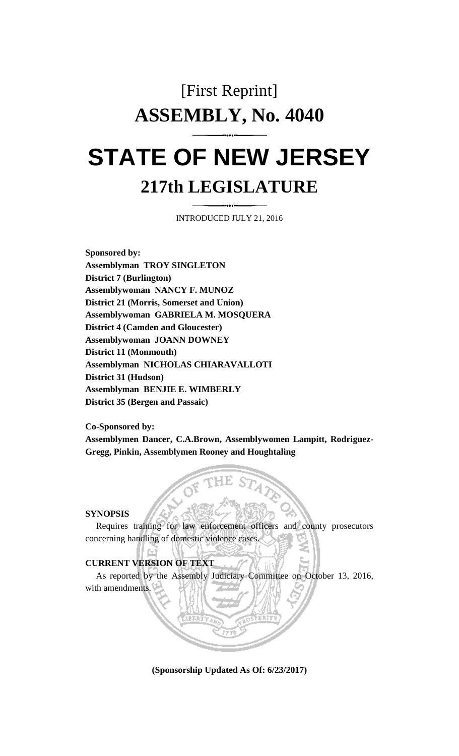# [First Reprint] **ASSEMBLY, No. 4040**

# **STATE OF NEW JERSEY 217th LEGISLATURE**

INTRODUCED JULY 21, 2016

**Sponsored by: Assemblyman TROY SINGLETON District 7 (Burlington) Assemblywoman NANCY F. MUNOZ District 21 (Morris, Somerset and Union) Assemblywoman GABRIELA M. MOSQUERA District 4 (Camden and Gloucester) Assemblywoman JOANN DOWNEY District 11 (Monmouth) Assemblyman NICHOLAS CHIARAVALLOTI District 31 (Hudson) Assemblyman BENJIE E. WIMBERLY District 35 (Bergen and Passaic)**

**Co-Sponsored by:**

**Assemblymen Dancer, C.A.Brown, Assemblywomen Lampitt, Rodriguez-Gregg, Pinkin, Assemblymen Rooney and Houghtaling**

#### **SYNOPSIS**

Requires training for law enforcement officers and county prosecutors concerning handling of domestic violence cases.

### **CURRENT VERSION OF TEXT**

As reported by the Assembly Judiciary Committee on October 13, 2016, with amendments.

**(Sponsorship Updated As Of: 6/23/2017)**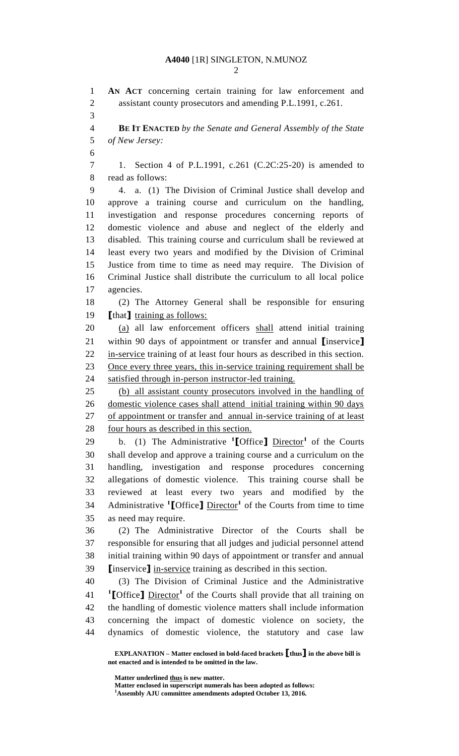**EXPLANATION – Matter enclosed in bold-faced brackets [thus] in the above bill is not enacted and is intended to be omitted in the law. AN ACT** concerning certain training for law enforcement and assistant county prosecutors and amending P.L.1991, c.261. **BE IT ENACTED** *by the Senate and General Assembly of the State of New Jersey:* 1. Section 4 of P.L.1991, c.261 (C.2C:25-20) is amended to read as follows: 4. a. (1) The Division of Criminal Justice shall develop and approve a training course and curriculum on the handling, investigation and response procedures concerning reports of domestic violence and abuse and neglect of the elderly and disabled. This training course and curriculum shall be reviewed at least every two years and modified by the Division of Criminal Justice from time to time as need may require. The Division of Criminal Justice shall distribute the curriculum to all local police agencies. (2) The Attorney General shall be responsible for ensuring **[**that**]** training as follows: (a) all law enforcement officers shall attend initial training within 90 days of appointment or transfer and annual **[**inservice**]** in-service training of at least four hours as described in this section. 23 Once every three years, this in-service training requirement shall be satisfied through in-person instructor-led training. (b) all assistant county prosecutors involved in the handling of domestic violence cases shall attend initial training within 90 days 27 of appointment or transfer and annual in-service training of at least 28 four hours as described in this section. 29 b. (1) The Administrative <sup>1</sup>[Office] Director<sup>1</sup> of the Courts shall develop and approve a training course and a curriculum on the handling, investigation and response procedures concerning allegations of domestic violence. This training course shall be reviewed at least every two years and modified by the 34 Administrative <sup>1</sup>[Office] Director<sup>1</sup> of the Courts from time to time as need may require. (2) The Administrative Director of the Courts shall be responsible for ensuring that all judges and judicial personnel attend initial training within 90 days of appointment or transfer and annual **[**inservice**]** in-service training as described in this section. (3) The Division of Criminal Justice and the Administrative **[**Office**]** Director**<sup>1</sup>** of the Courts shall provide that all training on the handling of domestic violence matters shall include information concerning the impact of domestic violence on society, the dynamics of domestic violence, the statutory and case law

**Matter underlined thus is new matter.**

**Matter enclosed in superscript numerals has been adopted as follows: Assembly AJU committee amendments adopted October 13, 2016.**